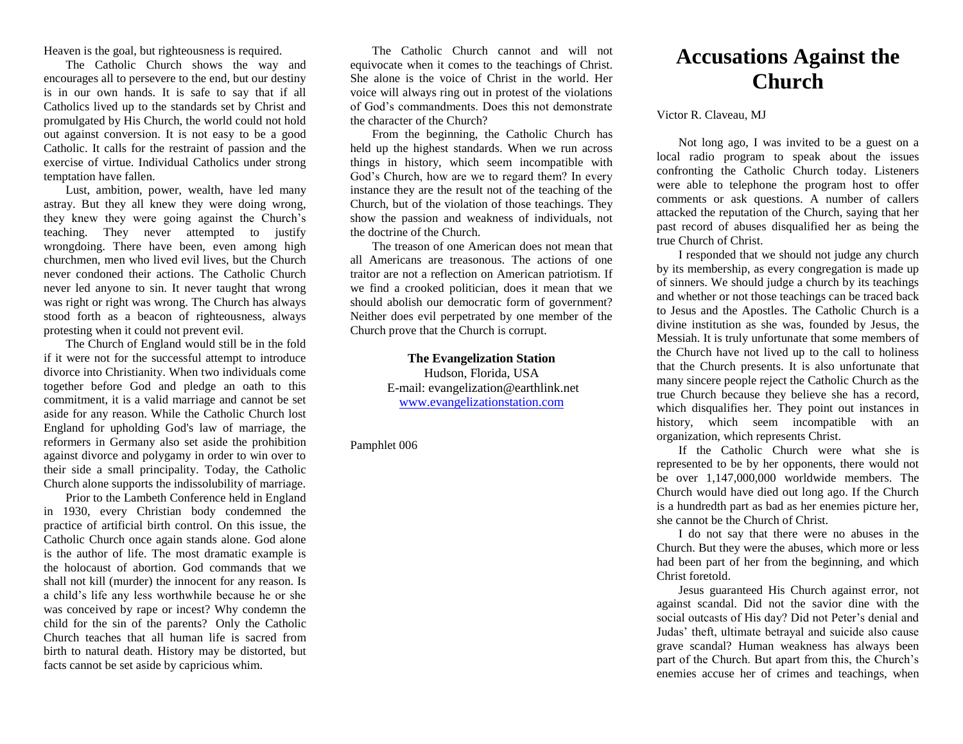Heaven is the goal, but righteousness is required.

The Catholic Church shows the way and encourages all to persevere to the end, but our destiny is in our own hands. It is safe to say that if all Catholics lived up to the standards set by Christ and promulgated by His Church, the world could not hold out against conversion. It is not easy to be a good Catholic. It calls for the restraint of passion and the exercise of virtue. Individual Catholics under strong temptation have fallen.

Lust, ambition, power, wealth, have led many astray. But they all knew they were doing wrong, they knew they were going against the Church's teaching. They never attempted to justify wrongdoing. There have been, even among high churchmen, men who lived evil lives, but the Church never condoned their actions. The Catholic Church never led anyone to sin. It never taught that wrong was right or right was wrong. The Church has always stood forth as a beacon of righteousness, always protesting when it could not prevent evil.

The Church of England would still be in the fold if it were not for the successful attempt to introduce divorce into Christianity. When two individuals come together before God and pledge an oath to this commitment, it is a valid marriage and cannot be set aside for any reason. While the Catholic Church lost England for upholding God's law of marriage, the reformers in Germany also set aside the prohibition against divorce and polygamy in order to win over to their side a small principality. Today, the Catholic Church alone supports the indissolubility of marriage.

Prior to the Lambeth Conference held in England in 1930, every Christian body condemned the practice of artificial birth control. On this issue, the Catholic Church once again stands alone. God alone is the author of life. The most dramatic example is the holocaust of abortion. God commands that we shall not kill (murder) the innocent for any reason. Is a child's life any less worthwhile because he or she was conceived by rape or incest? Why condemn the child for the sin of the parents? Only the Catholic Church teaches that all human life is sacred from birth to natural death. History may be distorted, but facts cannot be set aside by capricious whim.

The Catholic Church cannot and will not equivocate when it comes to the teachings of Christ. She alone is the voice of Christ in the world. Her voice will always ring out in protest of the violations of God's commandments. Does this not demonstrate the character of the Church?

From the beginning, the Catholic Church has held up the highest standards. When we run across things in history, which seem incompatible with God's Church, how are we to regard them? In every instance they are the result not of the teaching of the Church, but of the violation of those teachings. They show the passion and weakness of individuals, not the doctrine of the Church.

The treason of one American does not mean that all Americans are treasonous. The actions of one traitor are not a reflection on American patriotism. If we find a crooked politician, does it mean that we should abolish our democratic form of government? Neither does evil perpetrated by one member of the Church prove that the Church is corrupt.

> **The Evangelization Station** Hudson, Florida, USA E-mail: evangelization@earthlink.net [www.evangelizationstation.com](http://www.pjpiisoe.org/)

Pamphlet 006

## **Accusations Against the Church**

Victor R. Claveau, MJ

Not long ago, I was invited to be a guest on a local radio program to speak about the issues confronting the Catholic Church today. Listeners were able to telephone the program host to offer comments or ask questions. A number of callers attacked the reputation of the Church, saying that her past record of abuses disqualified her as being the true Church of Christ.

I responded that we should not judge any church by its membership, as every congregation is made up of sinners. We should judge a church by its teachings and whether or not those teachings can be traced back to Jesus and the Apostles. The Catholic Church is a divine institution as she was, founded by Jesus, the Messiah. It is truly unfortunate that some members of the Church have not lived up to the call to holiness that the Church presents. It is also unfortunate that many sincere people reject the Catholic Church as the true Church because they believe she has a record, which disqualifies her. They point out instances in history, which seem incompatible with an organization, which represents Christ.

If the Catholic Church were what she is represented to be by her opponents, there would not be over 1,147,000,000 worldwide members. The Church would have died out long ago. If the Church is a hundredth part as bad as her enemies picture her, she cannot be the Church of Christ.

I do not say that there were no abuses in the Church. But they were the abuses, which more or less had been part of her from the beginning, and which Christ foretold.

Jesus guaranteed His Church against error, not against scandal. Did not the savior dine with the social outcasts of His day? Did not Peter's denial and Judas' theft, ultimate betrayal and suicide also cause grave scandal? Human weakness has always been part of the Church. But apart from this, the Church's enemies accuse her of crimes and teachings, when